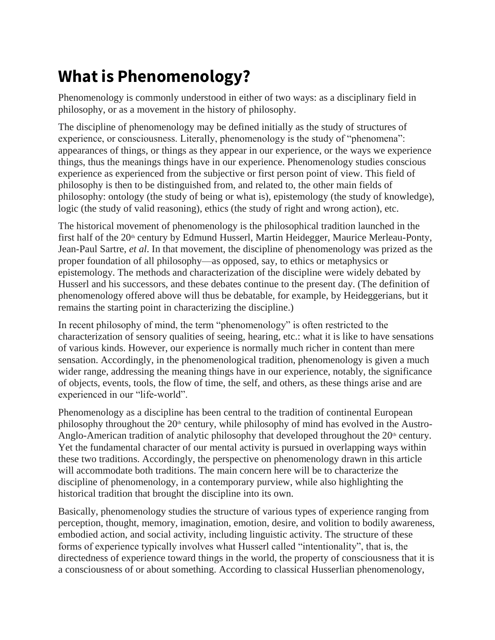## **What is Phenomenology?**

Phenomenology is commonly understood in either of two ways: as a disciplinary field in philosophy, or as a movement in the history of philosophy.

The discipline of phenomenology may be defined initially as the study of structures of experience, or consciousness. Literally, phenomenology is the study of "phenomena": appearances of things, or things as they appear in our experience, or the ways we experience things, thus the meanings things have in our experience. Phenomenology studies conscious experience as experienced from the subjective or first person point of view. This field of philosophy is then to be distinguished from, and related to, the other main fields of philosophy: ontology (the study of being or what is), epistemology (the study of knowledge), logic (the study of valid reasoning), ethics (the study of right and wrong action), etc.

The historical movement of phenomenology is the philosophical tradition launched in the first half of the 20<sup>th</sup> century by Edmund Husserl, Martin Heidegger, Maurice Merleau-Ponty, Jean-Paul Sartre, *et al*. In that movement, the discipline of phenomenology was prized as the proper foundation of all philosophy—as opposed, say, to ethics or metaphysics or epistemology. The methods and characterization of the discipline were widely debated by Husserl and his successors, and these debates continue to the present day. (The definition of phenomenology offered above will thus be debatable, for example, by Heideggerians, but it remains the starting point in characterizing the discipline.)

In recent philosophy of mind, the term "phenomenology" is often restricted to the characterization of sensory qualities of seeing, hearing, etc.: what it is like to have sensations of various kinds. However, our experience is normally much richer in content than mere sensation. Accordingly, in the phenomenological tradition, phenomenology is given a much wider range, addressing the meaning things have in our experience, notably, the significance of objects, events, tools, the flow of time, the self, and others, as these things arise and are experienced in our "life-world".

Phenomenology as a discipline has been central to the tradition of continental European philosophy throughout the  $20<sup>th</sup>$  century, while philosophy of mind has evolved in the Austro-Anglo-American tradition of analytic philosophy that developed throughout the  $20<sup>th</sup>$  century. Yet the fundamental character of our mental activity is pursued in overlapping ways within these two traditions. Accordingly, the perspective on phenomenology drawn in this article will accommodate both traditions. The main concern here will be to characterize the discipline of phenomenology, in a contemporary purview, while also highlighting the historical tradition that brought the discipline into its own.

Basically, phenomenology studies the structure of various types of experience ranging from perception, thought, memory, imagination, emotion, desire, and volition to bodily awareness, embodied action, and social activity, including linguistic activity. The structure of these forms of experience typically involves what Husserl called "intentionality", that is, the directedness of experience toward things in the world, the property of consciousness that it is a consciousness of or about something. According to classical Husserlian phenomenology,